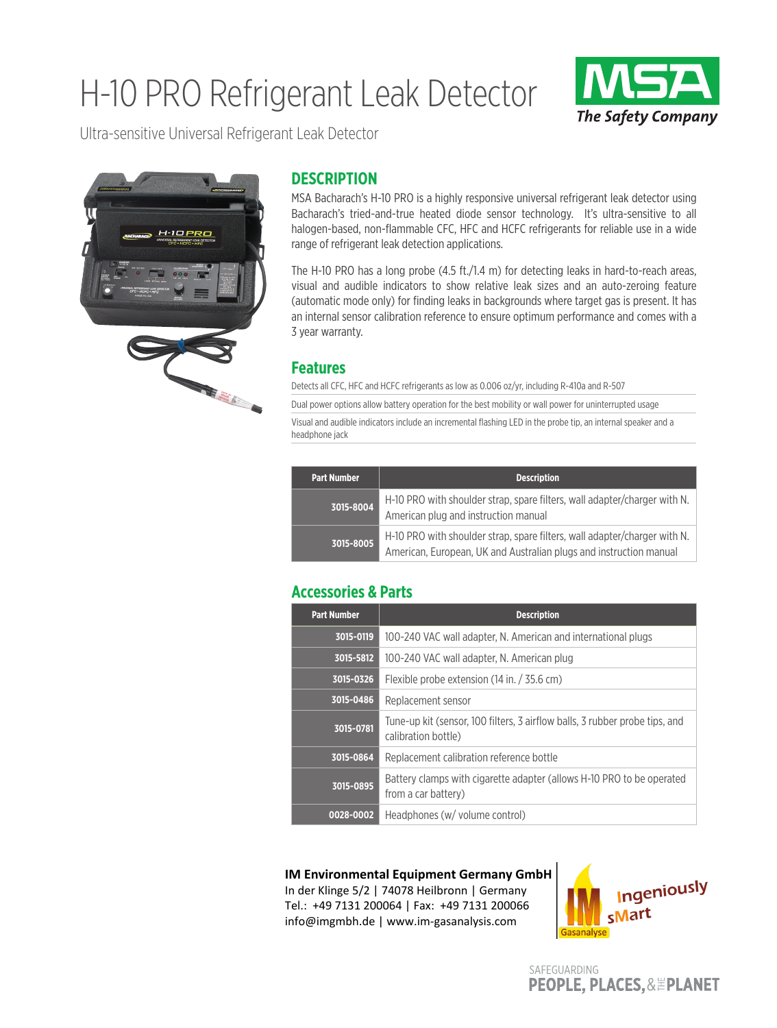# H-10 PRO Refrigerant Leak Detector



Ultra-sensitive Universal Refrigerant Leak Detector



### **DESCRIPTION**

MSA Bacharach's H-10 PRO is a highly responsive universal refrigerant leak detector using Bacharach's tried-and-true heated diode sensor technology. It's ultra-sensitive to all halogen-based, non-flammable CFC, HFC and HCFC refrigerants for reliable use in a wide range of refrigerant leak detection applications.

The H-10 PRO has a long probe (4.5 ft./1.4 m) for detecting leaks in hard-to-reach areas, visual and audible indicators to show relative leak sizes and an auto-zeroing feature (automatic mode only) for finding leaks in backgrounds where target gas is present. It has an internal sensor calibration reference to ensure optimum performance and comes with a 3 year warranty.

#### **Features**

Detects all CFC, HFC and HCFC refrigerants as low as 0.006 oz/yr, including R-410a and R-507

Dual power options allow battery operation for the best mobility or wall power for uninterrupted usage Visual and audible indicators include an incremental flashing LED in the probe tip, an internal speaker and a

headphone jack

| <b>Part Number</b> | <b>Description</b>                                                                                                                              |
|--------------------|-------------------------------------------------------------------------------------------------------------------------------------------------|
| $13015 - 8004$     | H-10 PRO with shoulder strap, spare filters, wall adapter/charger with N.<br>American plug and instruction manual                               |
| 3015-8005          | H-10 PRO with shoulder strap, spare filters, wall adapter/charger with N.<br>American, European, UK and Australian plugs and instruction manual |

#### **Accessories & Parts**

| <b>Part Number</b> | <b>Description</b>                                                                                 |
|--------------------|----------------------------------------------------------------------------------------------------|
| 3015-0119          | 100-240 VAC wall adapter, N. American and international plugs                                      |
| 3015-5812          | 100-240 VAC wall adapter, N. American plug                                                         |
| 3015-0326          | Flexible probe extension (14 in. / 35.6 cm)                                                        |
| 3015-0486          | Replacement sensor                                                                                 |
| 3015-0781          | Tune-up kit (sensor, 100 filters, 3 airflow balls, 3 rubber probe tips, and<br>calibration bottle) |
| 3015-0864          | Replacement calibration reference bottle                                                           |
| 3015-0895          | Battery clamps with cigarette adapter (allows H-10 PRO to be operated<br>from a car battery)       |
| 0028-0002          | Headphones (w/ volume control)                                                                     |

#### **IM Environmental Equipment Germany GmbH**

In der Klinge 5/2 | 74078 Heilbronn | Germany Tel.: +49 7131 200064 | Fax: +49 7131 200066 info@imgmbh.de | www.im-gasanalysis.com



SAFEGUARDING **PEOPLE, PLACES, & EPLANET**